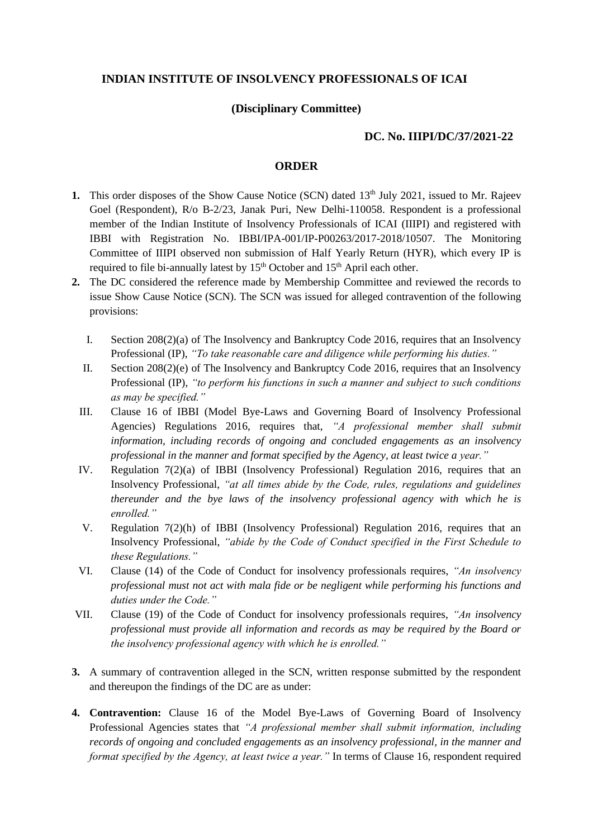## **INDIAN INSTITUTE OF INSOLVENCY PROFESSIONALS OF ICAI**

## **(Disciplinary Committee)**

## **DC. No. IIIPI/DC/37/2021-22**

## **ORDER**

- **1.** This order disposes of the Show Cause Notice (SCN) dated 13<sup>th</sup> July 2021, issued to Mr. Rajeev Goel (Respondent), R/o B-2/23, Janak Puri, New Delhi-110058. Respondent is a professional member of the Indian Institute of Insolvency Professionals of ICAI (IIIPI) and registered with IBBI with Registration No. IBBI/IPA-001/IP-P00263/2017-2018/10507. The Monitoring Committee of IIIPI observed non submission of Half Yearly Return (HYR), which every IP is required to file bi-annually latest by  $15<sup>th</sup>$  October and  $15<sup>th</sup>$  April each other.
- **2.** The DC considered the reference made by Membership Committee and reviewed the records to issue Show Cause Notice (SCN). The SCN was issued for alleged contravention of the following provisions:
	- I. Section 208(2)(a) of The Insolvency and Bankruptcy Code 2016, requires that an Insolvency Professional (IP), *"To take reasonable care and diligence while performing his duties."*
	- II. Section 208(2)(e) of The Insolvency and Bankruptcy Code 2016, requires that an Insolvency Professional (IP), *"to perform his functions in such a manner and subject to such conditions as may be specified."*
	- III. Clause 16 of IBBI (Model Bye-Laws and Governing Board of Insolvency Professional Agencies) Regulations 2016, requires that, *"A professional member shall submit information, including records of ongoing and concluded engagements as an insolvency professional in the manner and format specified by the Agency, at least twice a year."*
	- IV. Regulation 7(2)(a) of IBBI (Insolvency Professional) Regulation 2016, requires that an Insolvency Professional, *"at all times abide by the Code, rules, regulations and guidelines thereunder and the bye laws of the insolvency professional agency with which he is enrolled."*
	- V. Regulation 7(2)(h) of IBBI (Insolvency Professional) Regulation 2016, requires that an Insolvency Professional, *"abide by the Code of Conduct specified in the First Schedule to these Regulations."*
	- VI. Clause (14) of the Code of Conduct for insolvency professionals requires, *"An insolvency professional must not act with mala fide or be negligent while performing his functions and duties under the Code."*
- VII. Clause (19) of the Code of Conduct for insolvency professionals requires, *"An insolvency professional must provide all information and records as may be required by the Board or the insolvency professional agency with which he is enrolled."*
- **3.** A summary of contravention alleged in the SCN, written response submitted by the respondent and thereupon the findings of the DC are as under:
- **4. Contravention:** Clause 16 of the Model Bye-Laws of Governing Board of Insolvency Professional Agencies states that *"A professional member shall submit information, including records of ongoing and concluded engagements as an insolvency professional, in the manner and format specified by the Agency, at least twice a year.*" In terms of Clause 16, respondent required